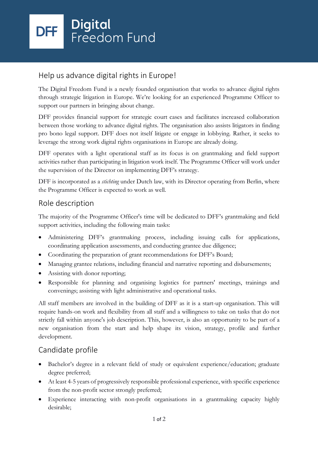## Help us advance digital rights in Europe!

The Digital Freedom Fund is a newly founded organisation that works to advance digital rights through strategic litigation in Europe. We're looking for an experienced Programme Officer to support our partners in bringing about change.

DFF provides financial support for strategic court cases and facilitates increased collaboration between those working to advance digital rights. The organisation also assists litigators in finding pro bono legal support. DFF does not itself litigate or engage in lobbying. Rather, it seeks to leverage the strong work digital rights organisations in Europe are already doing.

DFF operates with a light operational staff as its focus is on grantmaking and field support activities rather than participating in litigation work itself. The Programme Officer will work under the supervision of the Director on implementing DFF's strategy.

DFF is incorporated as a *stichting* under Dutch law, with its Director operating from Berlin, where the Programme Officer is expected to work as well.

### Role description

The majority of the Programme Officer's time will be dedicated to DFF's grantmaking and field support activities, including the following main tasks:

- Administering DFF's grantmaking process, including issuing calls for applications, coordinating application assessments, and conducting grantee due diligence;
- Coordinating the preparation of grant recommendations for DFF's Board;
- Managing grantee relations, including financial and narrative reporting and disbursements;
- Assisting with donor reporting;
- Responsible for planning and organising logistics for partners' meetings, trainings and convenings; assisting with light administrative and operational tasks.

All staff members are involved in the building of DFF as it is a start-up organisation. This will require hands-on work and flexibility from all staff and a willingness to take on tasks that do not strictly fall within anyone's job description. This, however, is also an opportunity to be part of a new organisation from the start and help shape its vision, strategy, profile and further development.

# Candidate profile

- Bachelor's degree in a relevant field of study or equivalent experience/education; graduate degree preferred;
- At least 4-5 years of progressively responsible professional experience, with specific experience from the non-profit sector strongly preferred;
- Experience interacting with non-profit organisations in a grantmaking capacity highly desirable;